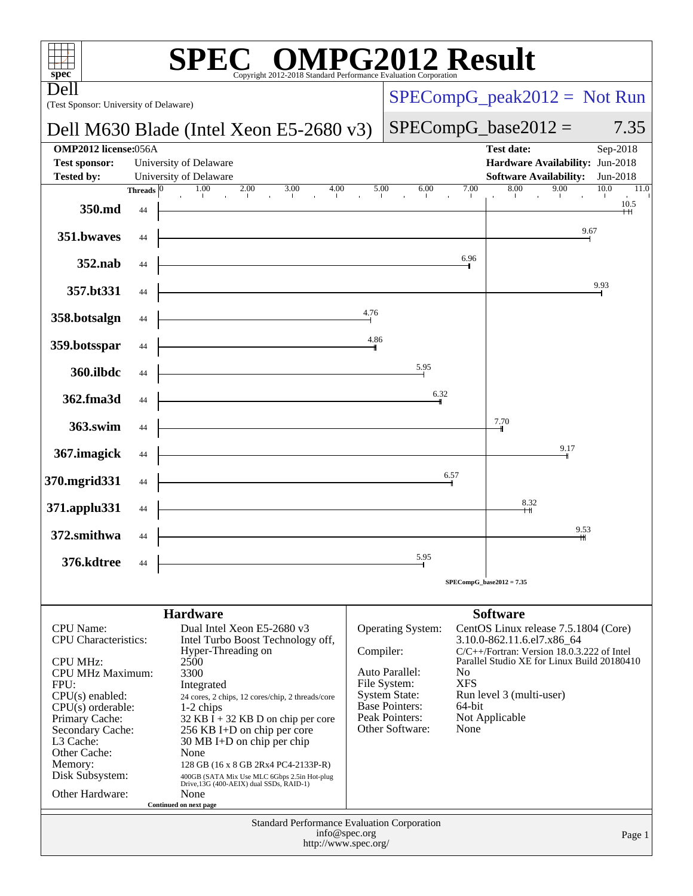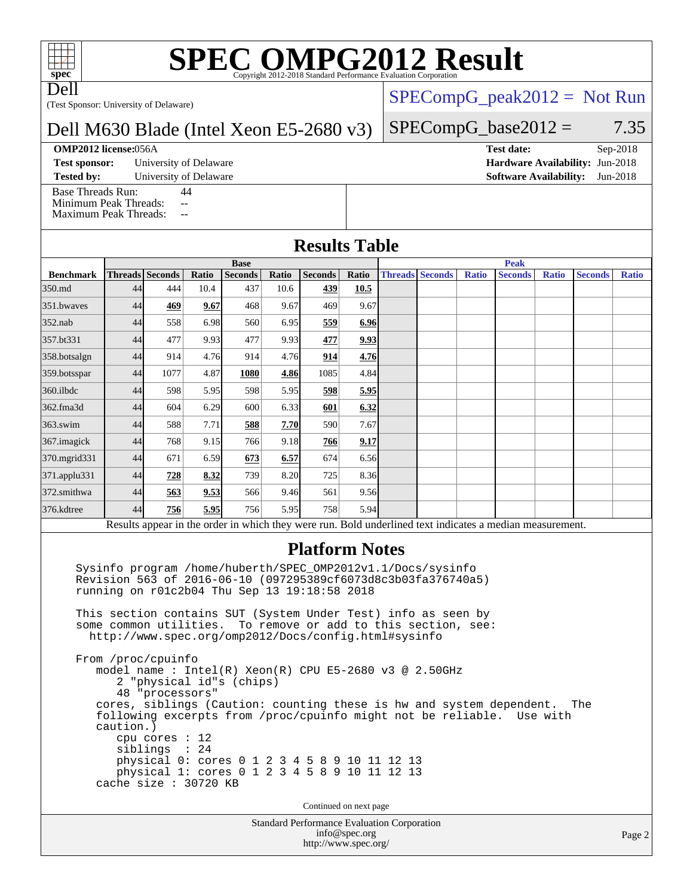# **[SPEC OMPG2012 Result](http://www.spec.org/auto/omp2012/Docs/result-fields.html#SPECOMPG2012Result)**

Dell

(Test Sponsor: University of Delaware)

# Dell M630 Blade (Intel Xeon E5-2680 v3)

### **[OMP2012 license:](http://www.spec.org/auto/omp2012/Docs/result-fields.html#OMP2012license)**056A **[Test date:](http://www.spec.org/auto/omp2012/Docs/result-fields.html#Testdate)** Sep-2018

**[Test sponsor:](http://www.spec.org/auto/omp2012/Docs/result-fields.html#Testsponsor)** University of Delaware **[Hardware Availability:](http://www.spec.org/auto/omp2012/Docs/result-fields.html#HardwareAvailability)** Jun-2018

**[Tested by:](http://www.spec.org/auto/omp2012/Docs/result-fields.html#Testedby)** University of Delaware **[Software Availability:](http://www.spec.org/auto/omp2012/Docs/result-fields.html#SoftwareAvailability)** Jun-2018

 $SPECompG_peak2012 = Not Run$  $SPECompG_peak2012 = Not Run$ 

### $SPECompG_base2012 = 7.35$  $SPECompG_base2012 = 7.35$

[Base Threads Run:](http://www.spec.org/auto/omp2012/Docs/result-fields.html#BaseThreadsRun) 44 [Minimum Peak Threads:](http://www.spec.org/auto/omp2012/Docs/result-fields.html#MinimumPeakThreads) --[Maximum Peak Threads:](http://www.spec.org/auto/omp2012/Docs/result-fields.html#MaximumPeakThreads) --

| <b>Results Table</b> |  |  |
|----------------------|--|--|
|                      |  |  |

|                                                                                                         | <b>Base</b> |                        |       |                |       | <b>Peak</b>    |             |  |                        |              |                |              |                |              |
|---------------------------------------------------------------------------------------------------------|-------------|------------------------|-------|----------------|-------|----------------|-------------|--|------------------------|--------------|----------------|--------------|----------------|--------------|
| <b>Benchmark</b>                                                                                        |             | <b>Threads Seconds</b> | Ratio | <b>Seconds</b> | Ratio | <b>Seconds</b> | Ratio       |  | <b>Threads Seconds</b> | <b>Ratio</b> | <b>Seconds</b> | <b>Ratio</b> | <b>Seconds</b> | <b>Ratio</b> |
| 350.md                                                                                                  | 44          | 444                    | 10.4  | 437            | 10.6  | 439            | 10.5        |  |                        |              |                |              |                |              |
| 351.bwaves                                                                                              | 44          | 469                    | 9.67  | 468            | 9.67  | 469            | 9.67        |  |                        |              |                |              |                |              |
| $352$ .nab                                                                                              | 44          | 558                    | 6.98  | 560            | 6.95  | 559            | 6.96        |  |                        |              |                |              |                |              |
| 357.bt331                                                                                               | 44          | 477                    | 9.93  | 477            | 9.93  | 477            | <u>9.93</u> |  |                        |              |                |              |                |              |
| 358.botsalgn                                                                                            | 44          | 914                    | 4.76  | 914            | 4.76  | 914            | 4.76        |  |                        |              |                |              |                |              |
| 359.botsspar                                                                                            | 44          | 1077                   | 4.87  | 1080           | 4.86  | 1085           | 4.84        |  |                        |              |                |              |                |              |
| $360$ .ilbdc                                                                                            | 44          | 598                    | 5.95  | 598            | 5.95  | 598            | 5.95        |  |                        |              |                |              |                |              |
| 362.fma3d                                                                                               | 44          | 604                    | 6.29  | 600            | 6.33  | 601            | 6.32        |  |                        |              |                |              |                |              |
| $363$ .swim                                                                                             | 44          | 588                    | 7.71  | 588            | 7.70  | 590            | 7.67        |  |                        |              |                |              |                |              |
| 367.imagick                                                                                             | 44          | 768                    | 9.15  | 766            | 9.18  | 766            | 9.17        |  |                        |              |                |              |                |              |
| 370.mgrid331                                                                                            | 44          | 671                    | 6.59  | 673            | 6.57  | 674            | 6.56        |  |                        |              |                |              |                |              |
| 371.applu331                                                                                            | 44          | 728                    | 8.32  | 739            | 8.20  | 725            | 8.36        |  |                        |              |                |              |                |              |
| 372.smithwa                                                                                             | 44          | 563                    | 9.53  | 566            | 9.46  | 561            | 9.56        |  |                        |              |                |              |                |              |
| 376.kdtree                                                                                              | 44          | 756                    | 5.95  | 756            | 5.95  | 758            | 5.94        |  |                        |              |                |              |                |              |
| Results appear in the order in which they were run. Rold underlined text indicates a median measurement |             |                        |       |                |       |                |             |  |                        |              |                |              |                |              |

Results appear in the [order in which they were run.](http://www.spec.org/auto/omp2012/Docs/result-fields.html#RunOrder) Bold underlined text [indicates a median measurement.](http://www.spec.org/auto/omp2012/Docs/result-fields.html#Median)

# **[Platform Notes](http://www.spec.org/auto/omp2012/Docs/result-fields.html#PlatformNotes)**

 Sysinfo program /home/huberth/SPEC\_OMP2012v1.1/Docs/sysinfo Revision 563 of 2016-06-10 (097295389cf6073d8c3b03fa376740a5) running on r01c2b04 Thu Sep 13 19:18:58 2018

 This section contains SUT (System Under Test) info as seen by some common utilities. To remove or add to this section, see: <http://www.spec.org/omp2012/Docs/config.html#sysinfo>

 From /proc/cpuinfo model name : Intel(R) Xeon(R) CPU E5-2680 v3 @ 2.50GHz 2 "physical id"s (chips) 48 "processors" cores, siblings (Caution: counting these is hw and system dependent. The following excerpts from /proc/cpuinfo might not be reliable. Use with caution.) cpu cores : 12 siblings : 24 physical 0: cores 0 1 2 3 4 5 8 9 10 11 12 13 physical 1: cores 0 1 2 3 4 5 8 9 10 11 12 13 cache size : 30720 KB

Continued on next page

Standard Performance Evaluation Corporation [info@spec.org](mailto:info@spec.org) <http://www.spec.org/>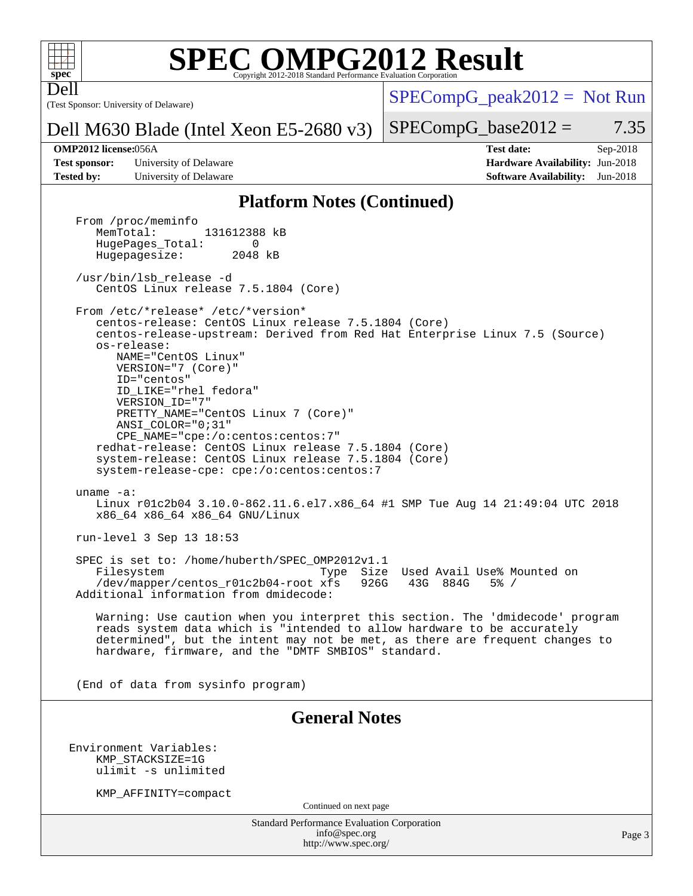

Dell

# **[SPEC OMPG2012 Result](http://www.spec.org/auto/omp2012/Docs/result-fields.html#SPECOMPG2012Result)**

(Test Sponsor: University of Delaware)

 $SPECompG_peak2012 = Not Run$  $SPECompG_peak2012 = Not Run$ 

## Dell M630 Blade (Intel Xeon E5-2680 v3)

 $SPECompG_base2012 = 7.35$  $SPECompG_base2012 = 7.35$ 

**[Test sponsor:](http://www.spec.org/auto/omp2012/Docs/result-fields.html#Testsponsor)** University of Delaware **[Hardware Availability:](http://www.spec.org/auto/omp2012/Docs/result-fields.html#HardwareAvailability)** Jun-2018 **[Tested by:](http://www.spec.org/auto/omp2012/Docs/result-fields.html#Testedby)** University of Delaware **[Software Availability:](http://www.spec.org/auto/omp2012/Docs/result-fields.html#SoftwareAvailability)** Jun-2018

**[OMP2012 license:](http://www.spec.org/auto/omp2012/Docs/result-fields.html#OMP2012license)**056A **[Test date:](http://www.spec.org/auto/omp2012/Docs/result-fields.html#Testdate)** Sep-2018

## **[Platform Notes \(Continued\)](http://www.spec.org/auto/omp2012/Docs/result-fields.html#PlatformNotes)**

From /proc/meminfo<br>MemTotal: 131612388 kB HugePages\_Total: 0<br>Hugepagesize: 2048 kB Hugepagesize: /usr/bin/lsb\_release -d CentOS Linux release 7.5.1804 (Core) From /etc/\*release\* /etc/\*version\* centos-release: CentOS Linux release 7.5.1804 (Core) centos-release-upstream: Derived from Red Hat Enterprise Linux 7.5 (Source) os-release: NAME="CentOS Linux" VERSION="7 (Core)" ID="centos" ID\_LIKE="rhel fedora" VERSION\_ID="7" PRETTY\_NAME="CentOS Linux 7 (Core)" ANSI\_COLOR="0;31" CPE\_NAME="cpe:/o:centos:centos:7" redhat-release: CentOS Linux release 7.5.1804 (Core) system-release: CentOS Linux release 7.5.1804 (Core) system-release-cpe: cpe:/o:centos:centos:7 uname -a: Linux r01c2b04 3.10.0-862.11.6.el7.x86\_64 #1 SMP Tue Aug 14 21:49:04 UTC 2018 x86\_64 x86\_64 x86\_64 GNU/Linux run-level 3 Sep 13 18:53 SPEC is set to: /home/huberth/SPEC\_OMP2012v1.1 Filesystem Type Size Used Avail Use% Mounted on<br>
/dev/mapper/centos\_r01c2b04-root xfs 926G 43G 884G 5% / /dev/mapper/centos\_r01c2b04-root xfs 926G 43G 884G 5% / Additional information from dmidecode: Warning: Use caution when you interpret this section. The 'dmidecode' program reads system data which is "intended to allow hardware to be accurately determined", but the intent may not be met, as there are frequent changes to hardware, firmware, and the "DMTF SMBIOS" standard. (End of data from sysinfo program) **[General Notes](http://www.spec.org/auto/omp2012/Docs/result-fields.html#GeneralNotes)** Environment Variables: KMP\_STACKSIZE=1G ulimit -s unlimited KMP\_AFFINITY=compact

Continued on next page

Standard Performance Evaluation Corporation [info@spec.org](mailto:info@spec.org) <http://www.spec.org/>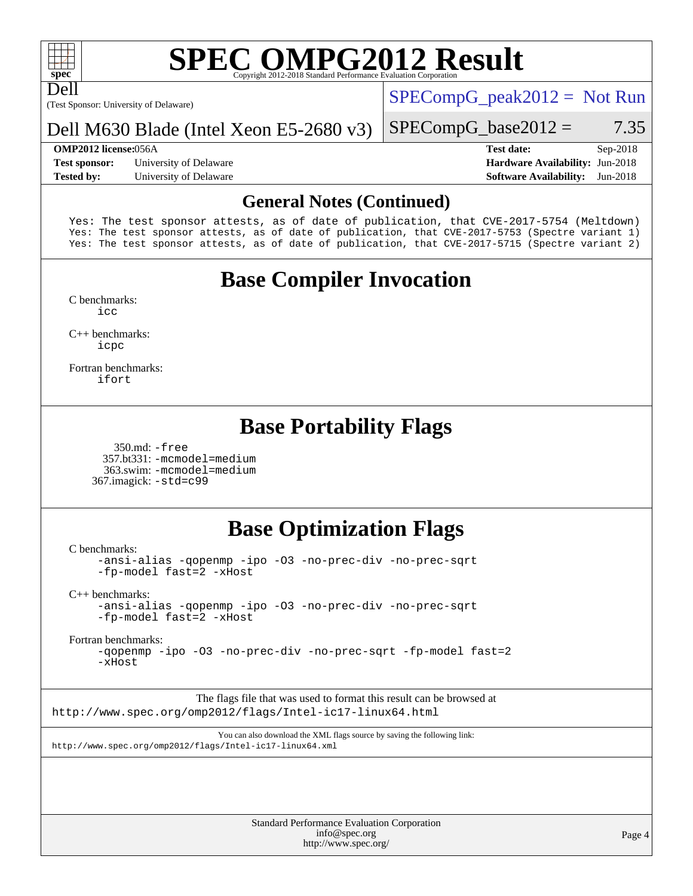

Dell

# **[SPEC OMPG2012 Result](http://www.spec.org/auto/omp2012/Docs/result-fields.html#SPECOMPG2012Result)**

(Test Sponsor: University of Delaware)

 $SPECompG_peak2012 = Not Run$  $SPECompG_peak2012 = Not Run$ 

## Dell M630 Blade (Intel Xeon E5-2680 v3)

**[Test sponsor:](http://www.spec.org/auto/omp2012/Docs/result-fields.html#Testsponsor)** University of Delaware **[Hardware Availability:](http://www.spec.org/auto/omp2012/Docs/result-fields.html#HardwareAvailability)** Jun-2018 **[Tested by:](http://www.spec.org/auto/omp2012/Docs/result-fields.html#Testedby)** University of Delaware **[Software Availability:](http://www.spec.org/auto/omp2012/Docs/result-fields.html#SoftwareAvailability)** Jun-2018

### $SPECompG_base2012 = 7.35$  $SPECompG_base2012 = 7.35$

**[OMP2012 license:](http://www.spec.org/auto/omp2012/Docs/result-fields.html#OMP2012license)**056A **[Test date:](http://www.spec.org/auto/omp2012/Docs/result-fields.html#Testdate)** Sep-2018

## **[General Notes \(Continued\)](http://www.spec.org/auto/omp2012/Docs/result-fields.html#GeneralNotes)**

Yes: The test sponsor attests, as of date of publication, that CVE-2017-5754 (Meltdown) Yes: The test sponsor attests, as of date of publication, that CVE-2017-5753 (Spectre variant 1) Yes: The test sponsor attests, as of date of publication, that CVE-2017-5715 (Spectre variant 2)

# **[Base Compiler Invocation](http://www.spec.org/auto/omp2012/Docs/result-fields.html#BaseCompilerInvocation)**

[C benchmarks](http://www.spec.org/auto/omp2012/Docs/result-fields.html#Cbenchmarks): [icc](http://www.spec.org/omp2012/results/res2018q4/omp2012-20181125-00153.flags.html#user_CCbase_intel_icc_a87c68a857bc5ec5362391a49d3a37a6)

[C++ benchmarks:](http://www.spec.org/auto/omp2012/Docs/result-fields.html#CXXbenchmarks) [icpc](http://www.spec.org/omp2012/results/res2018q4/omp2012-20181125-00153.flags.html#user_CXXbase_intel_icpc_2d899f8d163502b12eb4a60069f80c1c)

[Fortran benchmarks](http://www.spec.org/auto/omp2012/Docs/result-fields.html#Fortranbenchmarks): [ifort](http://www.spec.org/omp2012/results/res2018q4/omp2012-20181125-00153.flags.html#user_FCbase_intel_ifort_8a5e5e06b19a251bdeaf8fdab5d62f20)

# **[Base Portability Flags](http://www.spec.org/auto/omp2012/Docs/result-fields.html#BasePortabilityFlags)**

 350.md: [-free](http://www.spec.org/omp2012/results/res2018q4/omp2012-20181125-00153.flags.html#user_baseFPORTABILITY350_md_f-FR_e51be0673775d2012b3310fa5323f530) 357.bt331: [-mcmodel=medium](http://www.spec.org/omp2012/results/res2018q4/omp2012-20181125-00153.flags.html#user_basePORTABILITY357_bt331_f-mcmodel_3a41622424bdd074c4f0f2d2f224c7e5) 363.swim: [-mcmodel=medium](http://www.spec.org/omp2012/results/res2018q4/omp2012-20181125-00153.flags.html#user_basePORTABILITY363_swim_f-mcmodel_3a41622424bdd074c4f0f2d2f224c7e5) 367.imagick: [-std=c99](http://www.spec.org/omp2012/results/res2018q4/omp2012-20181125-00153.flags.html#user_baseCPORTABILITY367_imagick_f-std_2ec6533b6e06f1c4a6c9b78d9e9cde24)

# **[Base Optimization Flags](http://www.spec.org/auto/omp2012/Docs/result-fields.html#BaseOptimizationFlags)**

[C benchmarks](http://www.spec.org/auto/omp2012/Docs/result-fields.html#Cbenchmarks):

[-ansi-alias](http://www.spec.org/omp2012/results/res2018q4/omp2012-20181125-00153.flags.html#user_CCbase_f-ansi-alias) [-qopenmp](http://www.spec.org/omp2012/results/res2018q4/omp2012-20181125-00153.flags.html#user_CCbase_f-qopenmp) [-ipo](http://www.spec.org/omp2012/results/res2018q4/omp2012-20181125-00153.flags.html#user_CCbase_f-ipo) [-O3](http://www.spec.org/omp2012/results/res2018q4/omp2012-20181125-00153.flags.html#user_CCbase_f-O3) [-no-prec-div](http://www.spec.org/omp2012/results/res2018q4/omp2012-20181125-00153.flags.html#user_CCbase_f-no-prec-div) [-no-prec-sqrt](http://www.spec.org/omp2012/results/res2018q4/omp2012-20181125-00153.flags.html#user_CCbase_f-no-prec-sqrt) [-fp-model fast=2](http://www.spec.org/omp2012/results/res2018q4/omp2012-20181125-00153.flags.html#user_CCbase_f-fp-model_a7fb8ccb7275e23f0079632c153cfcab) [-xHost](http://www.spec.org/omp2012/results/res2018q4/omp2012-20181125-00153.flags.html#user_CCbase_f-xhost_1e10f91eff8f78573df9db5f5d873511)

[C++ benchmarks:](http://www.spec.org/auto/omp2012/Docs/result-fields.html#CXXbenchmarks)

[-ansi-alias](http://www.spec.org/omp2012/results/res2018q4/omp2012-20181125-00153.flags.html#user_CXXbase_f-ansi-alias) [-qopenmp](http://www.spec.org/omp2012/results/res2018q4/omp2012-20181125-00153.flags.html#user_CXXbase_f-qopenmp) [-ipo](http://www.spec.org/omp2012/results/res2018q4/omp2012-20181125-00153.flags.html#user_CXXbase_f-ipo) [-O3](http://www.spec.org/omp2012/results/res2018q4/omp2012-20181125-00153.flags.html#user_CXXbase_f-O3) [-no-prec-div](http://www.spec.org/omp2012/results/res2018q4/omp2012-20181125-00153.flags.html#user_CXXbase_f-no-prec-div) [-no-prec-sqrt](http://www.spec.org/omp2012/results/res2018q4/omp2012-20181125-00153.flags.html#user_CXXbase_f-no-prec-sqrt) [-fp-model fast=2](http://www.spec.org/omp2012/results/res2018q4/omp2012-20181125-00153.flags.html#user_CXXbase_f-fp-model_a7fb8ccb7275e23f0079632c153cfcab) [-xHost](http://www.spec.org/omp2012/results/res2018q4/omp2012-20181125-00153.flags.html#user_CXXbase_f-xhost_1e10f91eff8f78573df9db5f5d873511)

[Fortran benchmarks](http://www.spec.org/auto/omp2012/Docs/result-fields.html#Fortranbenchmarks):

[-qopenmp](http://www.spec.org/omp2012/results/res2018q4/omp2012-20181125-00153.flags.html#user_FCbase_f-qopenmp) [-ipo](http://www.spec.org/omp2012/results/res2018q4/omp2012-20181125-00153.flags.html#user_FCbase_f-ipo) [-O3](http://www.spec.org/omp2012/results/res2018q4/omp2012-20181125-00153.flags.html#user_FCbase_f-O3) [-no-prec-div](http://www.spec.org/omp2012/results/res2018q4/omp2012-20181125-00153.flags.html#user_FCbase_f-no-prec-div) [-no-prec-sqrt](http://www.spec.org/omp2012/results/res2018q4/omp2012-20181125-00153.flags.html#user_FCbase_f-no-prec-sqrt) [-fp-model fast=2](http://www.spec.org/omp2012/results/res2018q4/omp2012-20181125-00153.flags.html#user_FCbase_f-fp-model_a7fb8ccb7275e23f0079632c153cfcab) [-xHost](http://www.spec.org/omp2012/results/res2018q4/omp2012-20181125-00153.flags.html#user_FCbase_f-xhost_1e10f91eff8f78573df9db5f5d873511)

The flags file that was used to format this result can be browsed at <http://www.spec.org/omp2012/flags/Intel-ic17-linux64.html>

You can also download the XML flags source by saving the following link: <http://www.spec.org/omp2012/flags/Intel-ic17-linux64.xml>

> Standard Performance Evaluation Corporation [info@spec.org](mailto:info@spec.org) <http://www.spec.org/>

Page 4